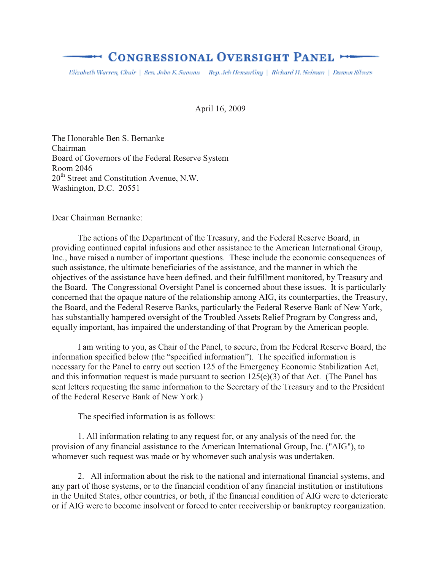# **EXECUTE:** CONGRESSIONAL OVERSIGHT PANEL

Elizabeth Warren, Chair | Sen. Jobo K. Suoonu | Rep. Jeh Hensarling | Richard H. Neiman | Damon Silvers

April 16, 2009

The Honorable Ben S. Bernanke Chairman Board of Governors of the Federal Reserve System Room 2046 20<sup>th</sup> Street and Constitution Avenue, N.W. Washington, D.C. 20551

Dear Chairman Bernanke:

 The actions of the Department of the Treasury, and the Federal Reserve Board, in providing continued capital infusions and other assistance to the American International Group, Inc., have raised a number of important questions. These include the economic consequences of such assistance, the ultimate beneficiaries of the assistance, and the manner in which the objectives of the assistance have been defined, and their fulfillment monitored, by Treasury and the Board. The Congressional Oversight Panel is concerned about these issues. It is particularly concerned that the opaque nature of the relationship among AIG, its counterparties, the Treasury, the Board, and the Federal Reserve Banks, particularly the Federal Reserve Bank of New York, has substantially hampered oversight of the Troubled Assets Relief Program by Congress and, equally important, has impaired the understanding of that Program by the American people.

 I am writing to you, as Chair of the Panel, to secure, from the Federal Reserve Board, the information specified below (the "specified information"). The specified information is necessary for the Panel to carry out section 125 of the Emergency Economic Stabilization Act, and this information request is made pursuant to section 125(e)(3) of that Act. (The Panel has sent letters requesting the same information to the Secretary of the Treasury and to the President of the Federal Reserve Bank of New York.)

The specified information is as follows:

 1. All information relating to any request for, or any analysis of the need for, the provision of any financial assistance to the American International Group, Inc. ("AIG"), to whomever such request was made or by whomever such analysis was undertaken.

2. All information about the risk to the national and international financial systems, and any part of those systems, or to the financial condition of any financial institution or institutions in the United States, other countries, or both, if the financial condition of AIG were to deteriorate or if AIG were to become insolvent or forced to enter receivership or bankruptcy reorganization.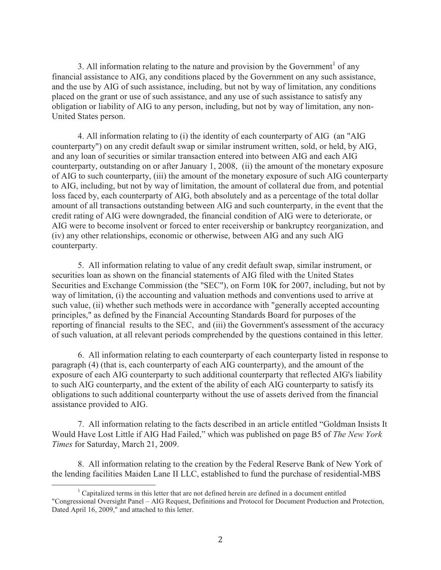3. All information relating to the nature and provision by the Government<sup>1</sup> of any financial assistance to AIG, any conditions placed by the Government on any such assistance, and the use by AIG of such assistance, including, but not by way of limitation, any conditions placed on the grant or use of such assistance, and any use of such assistance to satisfy any obligation or liability of AIG to any person, including, but not by way of limitation, any non-United States person.

4. All information relating to (i) the identity of each counterparty of AIG (an "AIG counterparty") on any credit default swap or similar instrument written, sold, or held, by AIG, and any loan of securities or similar transaction entered into between AIG and each AIG counterparty, outstanding on or after January 1, 2008, (ii) the amount of the monetary exposure of AIG to such counterparty, (iii) the amount of the monetary exposure of such AIG counterparty to AIG, including, but not by way of limitation, the amount of collateral due from, and potential loss faced by, each counterparty of AIG, both absolutely and as a percentage of the total dollar amount of all transactions outstanding between AIG and such counterparty, in the event that the credit rating of AIG were downgraded, the financial condition of AIG were to deteriorate, or AIG were to become insolvent or forced to enter receivership or bankruptcy reorganization, and (iv) any other relationships, economic or otherwise, between AIG and any such AIG counterparty.

5. All information relating to value of any credit default swap, similar instrument, or securities loan as shown on the financial statements of AIG filed with the United States Securities and Exchange Commission (the "SEC"), on Form 10K for 2007, including, but not by way of limitation, (i) the accounting and valuation methods and conventions used to arrive at such value, (ii) whether such methods were in accordance with "generally accepted accounting principles," as defined by the Financial Accounting Standards Board for purposes of the reporting of financial results to the SEC, and (iii) the Government's assessment of the accuracy of such valuation, at all relevant periods comprehended by the questions contained in this letter.

6. All information relating to each counterparty of each counterparty listed in response to paragraph (4) (that is, each counterparty of each AIG counterparty), and the amount of the exposure of each AIG counterparty to such additional counterparty that reflected AIG's liability to such AIG counterparty, and the extent of the ability of each AIG counterparty to satisfy its obligations to such additional counterparty without the use of assets derived from the financial assistance provided to AIG.

7. All information relating to the facts described in an article entitled "Goldman Insists It Would Have Lost Little if AIG Had Failed," which was published on page B5 of *The New York Times* for Saturday, March 21, 2009.

8. All information relating to the creation by the Federal Reserve Bank of New York of the lending facilities Maiden Lane II LLC, established to fund the purchase of residential-MBS

 $\overline{a}$ 

<sup>&</sup>lt;sup>1</sup> Capitalized terms in this letter that are not defined herein are defined in a document entitled "Congressional Oversight Panel – AIG Request, Definitions and Protocol for Document Production and Protection, Dated April 16, 2009," and attached to this letter.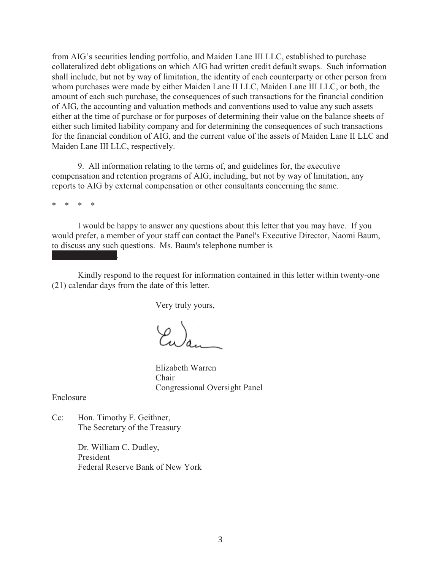from AIG's securities lending portfolio, and Maiden Lane III LLC, established to purchase collateralized debt obligations on which AIG had written credit default swaps. Such information shall include, but not by way of limitation, the identity of each counterparty or other person from whom purchases were made by either Maiden Lane II LLC, Maiden Lane III LLC, or both, the amount of each such purchase, the consequences of such transactions for the financial condition of AIG, the accounting and valuation methods and conventions used to value any such assets either at the time of purchase or for purposes of determining their value on the balance sheets of either such limited liability company and for determining the consequences of such transactions for the financial condition of AIG, and the current value of the assets of Maiden Lane II LLC and Maiden Lane III LLC, respectively.

9. All information relating to the terms of, and guidelines for, the executive compensation and retention programs of AIG, including, but not by way of limitation, any reports to AIG by external compensation or other consultants concerning the same.

\* \* \* \*

 $x \mapsto x \cdot x \cdot x \cdot x$ 

I would be happy to answer any questions about this letter that you may have. If you would prefer, a member of your staff can contact the Panel's Executive Director, Naomi Baum, to discuss any such questions. Ms. Baum's telephone number is

Kindly respond to the request for information contained in this letter within twenty-one (21) calendar days from the date of this letter.

Very truly yours,

 Elizabeth Warren Chair Congressional Oversight Panel

Enclosure

Cc: Hon. Timothy F. Geithner, The Secretary of the Treasury

> Dr. William C. Dudley, President Federal Reserve Bank of New York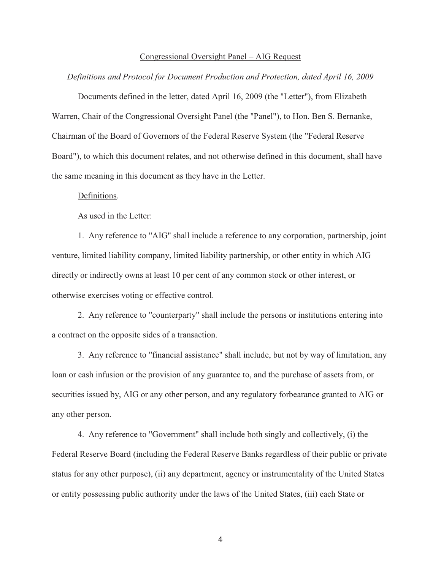#### Congressional Oversight Panel – AIG Request

### *Definitions and Protocol for Document Production and Protection, dated April 16, 2009*

Documents defined in the letter, dated April 16, 2009 (the "Letter"), from Elizabeth Warren, Chair of the Congressional Oversight Panel (the "Panel"), to Hon. Ben S. Bernanke, Chairman of the Board of Governors of the Federal Reserve System (the "Federal Reserve Board"), to which this document relates, and not otherwise defined in this document, shall have the same meaning in this document as they have in the Letter.

## Definitions.

As used in the Letter:

1. Any reference to "AIG" shall include a reference to any corporation, partnership, joint venture, limited liability company, limited liability partnership, or other entity in which AIG directly or indirectly owns at least 10 per cent of any common stock or other interest, or otherwise exercises voting or effective control.

2. Any reference to "counterparty" shall include the persons or institutions entering into a contract on the opposite sides of a transaction.

3. Any reference to "financial assistance" shall include, but not by way of limitation, any loan or cash infusion or the provision of any guarantee to, and the purchase of assets from, or securities issued by, AIG or any other person, and any regulatory forbearance granted to AIG or any other person.

4. Any reference to "Government" shall include both singly and collectively, (i) the Federal Reserve Board (including the Federal Reserve Banks regardless of their public or private status for any other purpose), (ii) any department, agency or instrumentality of the United States or entity possessing public authority under the laws of the United States, (iii) each State or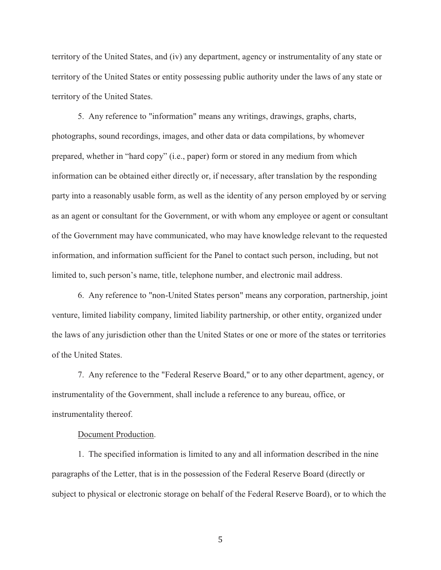territory of the United States, and (iv) any department, agency or instrumentality of any state or territory of the United States or entity possessing public authority under the laws of any state or territory of the United States.

5. Any reference to "information" means any writings, drawings, graphs, charts, photographs, sound recordings, images, and other data or data compilations, by whomever prepared, whether in "hard copy" (i.e., paper) form or stored in any medium from which information can be obtained either directly or, if necessary, after translation by the responding party into a reasonably usable form, as well as the identity of any person employed by or serving as an agent or consultant for the Government, or with whom any employee or agent or consultant of the Government may have communicated, who may have knowledge relevant to the requested information, and information sufficient for the Panel to contact such person, including, but not limited to, such person's name, title, telephone number, and electronic mail address.

 6. Any reference to "non-United States person" means any corporation, partnership, joint venture, limited liability company, limited liability partnership, or other entity, organized under the laws of any jurisdiction other than the United States or one or more of the states or territories of the United States.

7. Any reference to the "Federal Reserve Board," or to any other department, agency, or instrumentality of the Government, shall include a reference to any bureau, office, or instrumentality thereof.

## Document Production.

 1. The specified information is limited to any and all information described in the nine paragraphs of the Letter, that is in the possession of the Federal Reserve Board (directly or subject to physical or electronic storage on behalf of the Federal Reserve Board), or to which the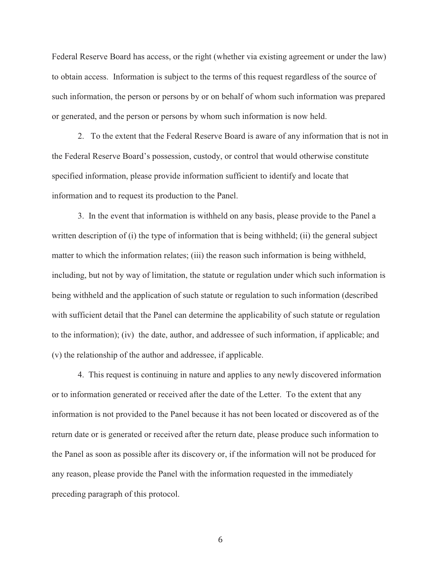Federal Reserve Board has access, or the right (whether via existing agreement or under the law) to obtain access. Information is subject to the terms of this request regardless of the source of such information, the person or persons by or on behalf of whom such information was prepared or generated, and the person or persons by whom such information is now held.

2. To the extent that the Federal Reserve Board is aware of any information that is not in the Federal Reserve Board's possession, custody, or control that would otherwise constitute specified information, please provide information sufficient to identify and locate that information and to request its production to the Panel.

3. In the event that information is withheld on any basis, please provide to the Panel a written description of (i) the type of information that is being withheld; (ii) the general subject matter to which the information relates; (iii) the reason such information is being withheld, including, but not by way of limitation, the statute or regulation under which such information is being withheld and the application of such statute or regulation to such information (described with sufficient detail that the Panel can determine the applicability of such statute or regulation to the information); (iv) the date, author, and addressee of such information, if applicable; and (v) the relationship of the author and addressee, if applicable.

4. This request is continuing in nature and applies to any newly discovered information or to information generated or received after the date of the Letter. To the extent that any information is not provided to the Panel because it has not been located or discovered as of the return date or is generated or received after the return date, please produce such information to the Panel as soon as possible after its discovery or, if the information will not be produced for any reason, please provide the Panel with the information requested in the immediately preceding paragraph of this protocol.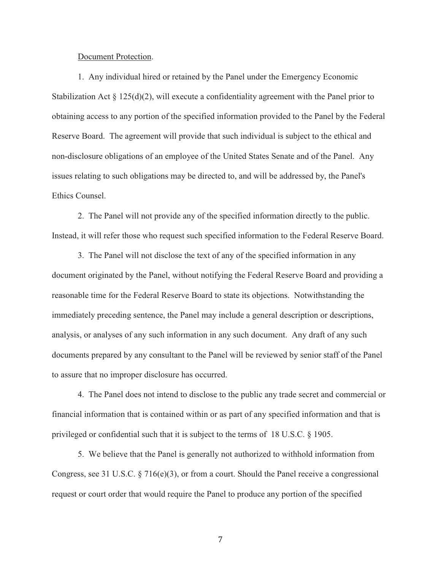#### Document Protection.

1. Any individual hired or retained by the Panel under the Emergency Economic Stabilization Act  $\S 125(d)(2)$ , will execute a confidentiality agreement with the Panel prior to obtaining access to any portion of the specified information provided to the Panel by the Federal Reserve Board. The agreement will provide that such individual is subject to the ethical and non-disclosure obligations of an employee of the United States Senate and of the Panel. Any issues relating to such obligations may be directed to, and will be addressed by, the Panel's Ethics Counsel.

2. The Panel will not provide any of the specified information directly to the public. Instead, it will refer those who request such specified information to the Federal Reserve Board.

3. The Panel will not disclose the text of any of the specified information in any document originated by the Panel, without notifying the Federal Reserve Board and providing a reasonable time for the Federal Reserve Board to state its objections. Notwithstanding the immediately preceding sentence, the Panel may include a general description or descriptions, analysis, or analyses of any such information in any such document. Any draft of any such documents prepared by any consultant to the Panel will be reviewed by senior staff of the Panel to assure that no improper disclosure has occurred.

4. The Panel does not intend to disclose to the public any trade secret and commercial or financial information that is contained within or as part of any specified information and that is privileged or confidential such that it is subject to the terms of 18 U.S.C. § 1905.

5. We believe that the Panel is generally not authorized to withhold information from Congress, see 31 U.S.C. § 716(e)(3), or from a court. Should the Panel receive a congressional request or court order that would require the Panel to produce any portion of the specified